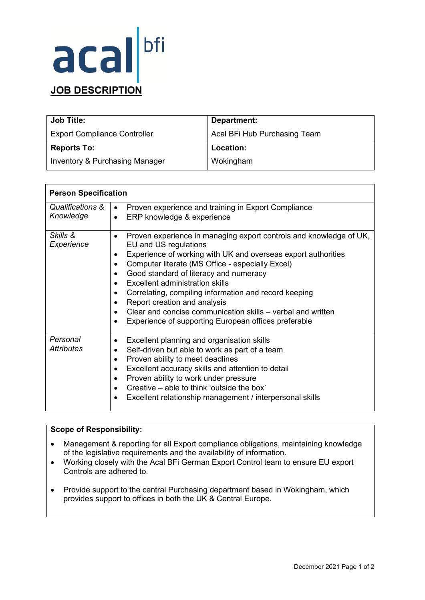## acal **JOB DESCRIPTION**

| <b>Job Title:</b>                   | Department:                  |
|-------------------------------------|------------------------------|
| <b>Export Compliance Controller</b> | Acal BFi Hub Purchasing Team |
| <b>Reports To:</b>                  | Location:                    |
| Inventory & Purchasing Manager      | Wokingham                    |

| <b>Person Specification</b>   |                                                                                                                                                                                                                                                                                                                                                                                                                                                                                                                                                                                                    |
|-------------------------------|----------------------------------------------------------------------------------------------------------------------------------------------------------------------------------------------------------------------------------------------------------------------------------------------------------------------------------------------------------------------------------------------------------------------------------------------------------------------------------------------------------------------------------------------------------------------------------------------------|
| Qualifications &<br>Knowledge | Proven experience and training in Export Compliance<br>$\bullet$<br>ERP knowledge & experience<br>$\bullet$                                                                                                                                                                                                                                                                                                                                                                                                                                                                                        |
| Skills &<br>Experience        | Proven experience in managing export controls and knowledge of UK,<br>$\bullet$<br>EU and US regulations<br>Experience of working with UK and overseas export authorities<br>$\bullet$<br>Computer literate (MS Office - especially Excel)<br>$\bullet$<br>Good standard of literacy and numeracy<br>$\bullet$<br><b>Excellent administration skills</b><br>Correlating, compiling information and record keeping<br>Report creation and analysis<br>Clear and concise communication skills – verbal and written<br>$\bullet$<br>Experience of supporting European offices preferable<br>$\bullet$ |
| Personal<br>Attributes        | Excellent planning and organisation skills<br>$\bullet$<br>Self-driven but able to work as part of a team<br>$\bullet$<br>Proven ability to meet deadlines<br>$\bullet$<br>Excellent accuracy skills and attention to detail<br>$\bullet$<br>Proven ability to work under pressure<br>$\bullet$<br>Creative – able to think 'outside the box'<br>$\bullet$<br>Excellent relationship management / interpersonal skills                                                                                                                                                                             |

### **Scope of Responsibility:**

- Management & reporting for all Export compliance obligations, maintaining knowledge of the legislative requirements and the availability of information.
- Working closely with the Acal BFi German Export Control team to ensure EU export Controls are adhered to.
- Provide support to the central Purchasing department based in Wokingham, which provides support to offices in both the UK & Central Europe.